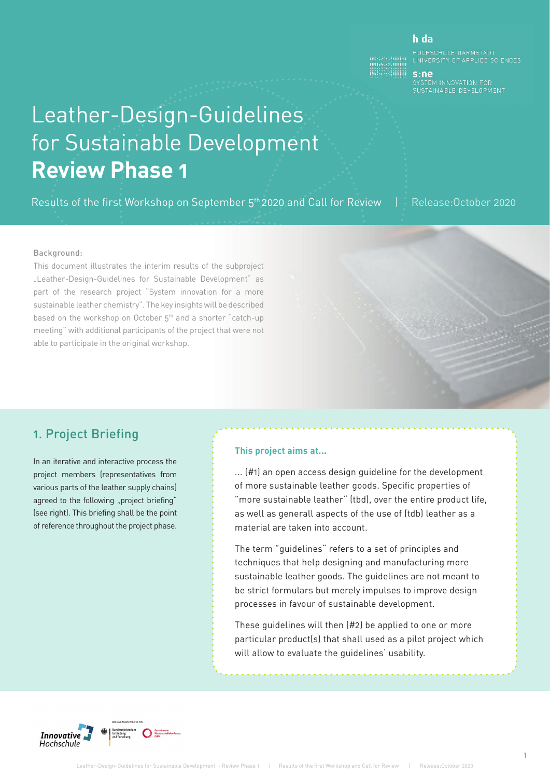#### h da

UNIVERSITY OF APPLIED SCIENCES

s:ne SISTEM INTOXITOR FOR<br>SUSTAINABLE DEVELOPMENT

# Leather-Design-Guidelines for Sustainable Development **Review Phase 1**

Results of the first Workshop on September 5<sup>th</sup> 2020 and Call for Review | Release: October 2020

#### Background:

This document illustrates the interim results of the subproject "Leather-Design-Guidelines for Sustainable Development" as part of the research project "System innovation for a more sustainable leather chemistry". The key insights will be described based on the workshop on October 5<sup>th</sup> and a shorter "catch-up meeting" with additional participants of the project that were not able to participate in the original workshop.

## 1. Project Briefing

In an iterative and interactive process the project members (representatives from various parts of the leather supply chains) agreed to the following "project briefing" (see right). This briefing shall be the point of reference throughout the project phase.

#### **This project aims at...**

... (#1) an open access design guideline for the development of more sustainable leather goods. Specific properties of "more sustainable leather" (tbd), over the entire product life, as well as generall aspects of the use of (tdb) leather as a material are taken into account.

The term "guidelines" refers to a set of principles and techniques that help designing and manufacturing more sustainable leather goods. The guidelines are not meant to be strict formulars but merely impulses to improve design processes in favour of sustainable development.

These quidelines will then (#2) be applied to one or more particular product(s) that shall used as a pilot project which will allow to evaluate the guidelines' usability.

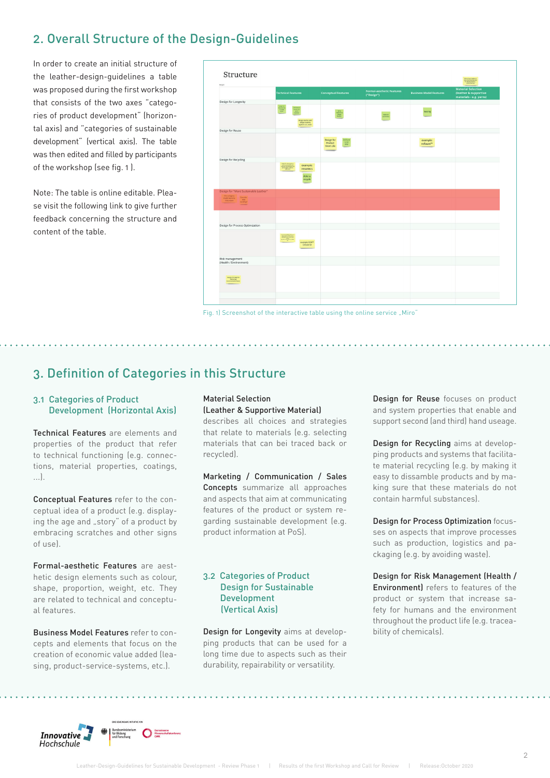## 2. Overall Structure of the Design-Guidelines

In order to create an initial structure of the leather-design-guidelines a table was proposed during the first workshop that consists of the two axes "categories of product development" (horizontal axis) and "categories of sustainable development" (vertical axis). The table was then edited and filled by participants of the workshop (see fig. 1 ).

Note: The table is online editable. Please visit the following link to give further feedback concerning the structure and content of the table.



Fig. 1) Screenshot of the interactive table using the online service "Miro"

## 3. Definition of Categories in this Structure

#### 3.1 Categories of Product Development (Horizontal Axis)

Technical Features are elements and properties of the product that refer to technical functioning (e.g. connections, material properties, coatings, ...).

Conceptual Features refer to the conceptual idea of a product (e.g. displaying the age and "story" of a product by embracing scratches and other signs of use).

Formal-aesthetic Features are aesthetic design elements such as colour, shape, proportion, weight, etc. They are related to technical and conceptual features.

Business Model Features refer to concepts and elements that focus on the creation of economic value added (leasing, product-service-systems, etc.).

#### Material Selection (Leather & Supportive Material)

describes all choices and strategies that relate to materials (e.g. selecting materials that can bei traced back or recycled).

Marketing / Communication / Sales Concepts summarize all approaches and aspects that aim at communicating features of the product or system regarding sustainable development (e.g. product information at PoS).

#### 3.2 Categories of Product Design for Sustainable Development (Vertical Axis)

Design for Longevity aims at developping products that can be used for a long time due to aspects such as their durability, repairability or versatility.

a a a a a a a a

Design for Reuse focuses on product and system properties that enable and support second (and third) hand useage.

Design for Recycling aims at developping products and systems that facilitate material recycling (e.g. by making it easy to dissamble products and by making sure that these materials do not contain harmful substances).

Design for Process Optimization focusses on aspects that improve processes such as production, logistics and packaging (e.g. by avoiding waste).

Design for Risk Management (Health / Environment) refers to features of the product or system that increase safety for humans and the environment throughout the product life (e.g. traceability of chemicals).